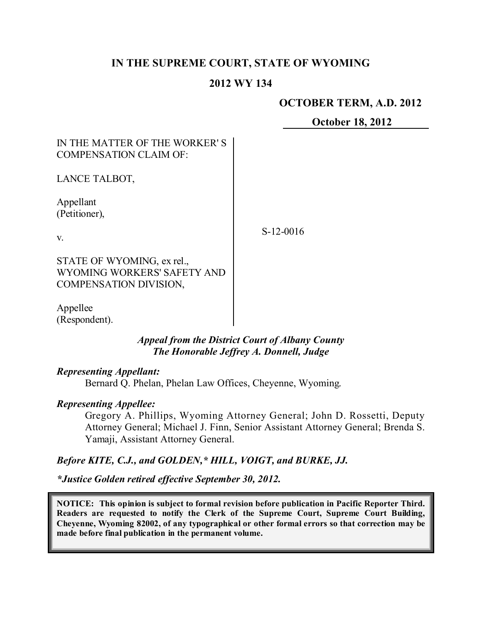# **IN THE SUPREME COURT, STATE OF WYOMING**

## **2012 WY 134**

### **OCTOBER TERM, A.D. 2012**

**October 18, 2012**

# IN THE MATTER OF THE WORKER' S COMPENSATION CLAIM OF:

LANCE TALBOT,

Appellant (Petitioner),

v.

S-12-0016

STATE OF WYOMING, ex rel., WYOMING WORKERS' SAFETY AND COMPENSATION DIVISION,

Appellee (Respondent).

### *Appeal from the District Court of Albany County The Honorable Jeffrey A. Donnell, Judge*

#### *Representing Appellant:*

Bernard Q. Phelan, Phelan Law Offices, Cheyenne, Wyoming.

#### *Representing Appellee:*

Gregory A. Phillips, Wyoming Attorney General; John D. Rossetti, Deputy Attorney General; Michael J. Finn, Senior Assistant Attorney General; Brenda S. Yamaji, Assistant Attorney General.

*Before KITE, C.J., and GOLDEN,\* HILL, VOIGT, and BURKE, JJ.*

*\*Justice Golden retired effective September 30, 2012.*

**NOTICE: This opinion is subject to formal revision before publication in Pacific Reporter Third. Readers are requested to notify the Clerk of the Supreme Court, Supreme Court Building, Cheyenne, Wyoming 82002, of any typographical or other formal errors so that correction may be made before final publication in the permanent volume.**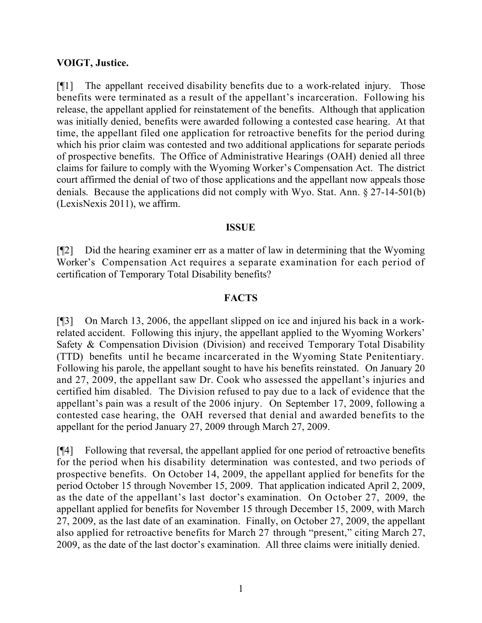### **VOIGT, Justice.**

[¶1] The appellant received disability benefits due to a work-related injury. Those benefits were terminated as a result of the appellant's incarceration. Following his release, the appellant applied for reinstatement of the benefits. Although that application was initially denied, benefits were awarded following a contested case hearing. At that time, the appellant filed one application for retroactive benefits for the period during which his prior claim was contested and two additional applications for separate periods of prospective benefits. The Office of Administrative Hearings (OAH) denied all three claims for failure to comply with the Wyoming Worker's Compensation Act. The district court affirmed the denial of two of those applications and the appellant now appeals those denials. Because the applications did not comply with Wyo. Stat. Ann. § 27-14-501(b) (LexisNexis 2011), we affirm.

#### **ISSUE**

[¶2] Did the hearing examiner err as a matter of law in determining that the Wyoming Worker's Compensation Act requires a separate examination for each period of certification of Temporary Total Disability benefits?

### **FACTS**

[¶3] On March 13, 2006, the appellant slipped on ice and injured his back in a workrelated accident. Following this injury, the appellant applied to the Wyoming Workers' Safety & Compensation Division (Division) and received Temporary Total Disability (TTD) benefits until he became incarcerated in the Wyoming State Penitentiary. Following his parole, the appellant sought to have his benefits reinstated. On January 20 and 27, 2009, the appellant saw Dr. Cook who assessed the appellant's injuries and certified him disabled. The Division refused to pay due to a lack of evidence that the appellant's pain was a result of the 2006 injury. On September 17, 2009, following a contested case hearing, the OAH reversed that denial and awarded benefits to the appellant for the period January 27, 2009 through March 27, 2009.

[¶4] Following that reversal, the appellant applied for one period of retroactive benefits for the period when his disability determination was contested, and two periods of prospective benefits. On October 14, 2009, the appellant applied for benefits for the period October 15 through November 15, 2009. That application indicated April 2, 2009, as the date of the appellant's last doctor's examination. On October 27, 2009, the appellant applied for benefits for November 15 through December 15, 2009, with March 27, 2009, as the last date of an examination. Finally, on October 27, 2009, the appellant also applied for retroactive benefits for March 27 through "present," citing March 27, 2009, as the date of the last doctor's examination. All three claims were initially denied.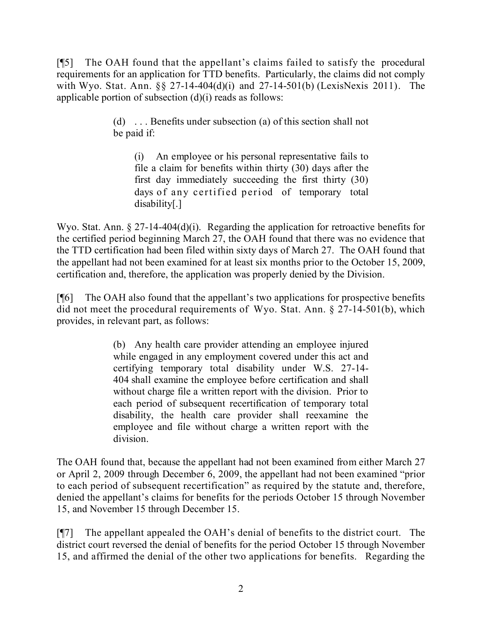[¶5] The OAH found that the appellant's claims failed to satisfy the procedural requirements for an application for TTD benefits. Particularly, the claims did not comply with Wyo. Stat. Ann. §§ 27-14-404(d)(i) and 27-14-501(b) (LexisNexis 2011). The applicable portion of subsection  $(d)(i)$  reads as follows:

> (d) . . . Benefits under subsection (a) of this section shall not be paid if:

(i) An employee or his personal representative fails to file a claim for benefits within thirty (30) days after the first day immediately succeeding the first thirty (30) days of any certified period of temporary total disability[.]

Wyo. Stat. Ann.  $\S 27$ -14-404(d)(i). Regarding the application for retroactive benefits for the certified period beginning March 27, the OAH found that there was no evidence that the TTD certification had been filed within sixty days of March 27. The OAH found that the appellant had not been examined for at least six months prior to the October 15, 2009, certification and, therefore, the application was properly denied by the Division.

[¶6] The OAH also found that the appellant's two applications for prospective benefits did not meet the procedural requirements of Wyo. Stat. Ann. § 27-14-501(b), which provides, in relevant part, as follows:

> (b) Any health care provider attending an employee injured while engaged in any employment covered under this act and certifying temporary total disability under W.S. 27-14- 404 shall examine the employee before certification and shall without charge file a written report with the division. Prior to each period of subsequent recertification of temporary total disability, the health care provider shall reexamine the employee and file without charge a written report with the division.

The OAH found that, because the appellant had not been examined from either March 27 or April 2, 2009 through December 6, 2009, the appellant had not been examined "prior to each period of subsequent recertification" as required by the statute and, therefore, denied the appellant's claims for benefits for the periods October 15 through November 15, and November 15 through December 15.

[¶7] The appellant appealed the OAH's denial of benefits to the district court. The district court reversed the denial of benefits for the period October 15 through November 15, and affirmed the denial of the other two applications for benefits. Regarding the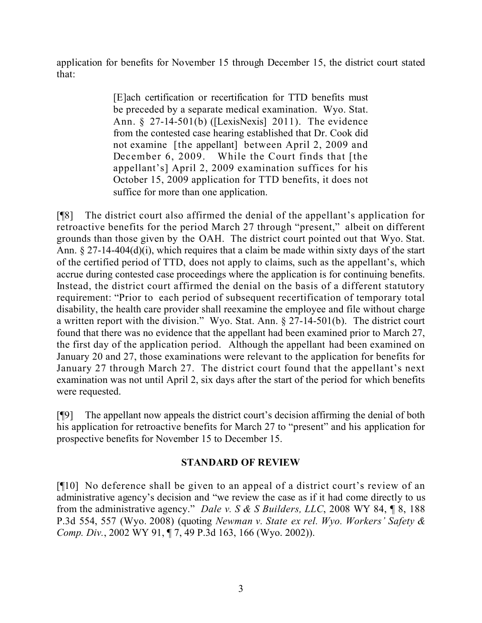application for benefits for November 15 through December 15, the district court stated that:

> [E]ach certification or recertification for TTD benefits must be preceded by a separate medical examination. Wyo. Stat. Ann. § 27-14-501(b) ([LexisNexis] 2011). The evidence from the contested case hearing established that Dr. Cook did not examine [the appellant] between April 2, 2009 and December 6, 2009. While the Court finds that [the appellant's] April 2, 2009 examination suffices for his October 15, 2009 application for TTD benefits, it does not suffice for more than one application.

[¶8] The district court also affirmed the denial of the appellant's application for retroactive benefits for the period March 27 through "present," albeit on different grounds than those given by the OAH. The district court pointed out that Wyo. Stat. Ann. § 27-14-404(d)(i), which requires that a claim be made within sixty days of the start of the certified period of TTD, does not apply to claims, such as the appellant's, which accrue during contested case proceedings where the application is for continuing benefits. Instead, the district court affirmed the denial on the basis of a different statutory requirement: "Prior to each period of subsequent recertification of temporary total disability, the health care provider shall reexamine the employee and file without charge a written report with the division." Wyo. Stat. Ann. § 27-14-501(b). The district court found that there was no evidence that the appellant had been examined prior to March 27, the first day of the application period. Although the appellant had been examined on January 20 and 27, those examinations were relevant to the application for benefits for January 27 through March 27. The district court found that the appellant's next examination was not until April 2, six days after the start of the period for which benefits were requested.

[¶9] The appellant now appeals the district court's decision affirming the denial of both his application for retroactive benefits for March 27 to "present" and his application for prospective benefits for November 15 to December 15.

# **STANDARD OF REVIEW**

[¶10] No deference shall be given to an appeal of a district court's review of an administrative agency's decision and "we review the case as if it had come directly to us from the administrative agency." *Dale v. S & S Builders, LLC*, 2008 WY 84, ¶ 8, 188 P.3d 554, 557 (Wyo. 2008) (quoting *Newman v. State ex rel. Wyo. Workers' Safety & Comp. Div.*, 2002 WY 91, ¶ 7, 49 P.3d 163, 166 (Wyo. 2002)).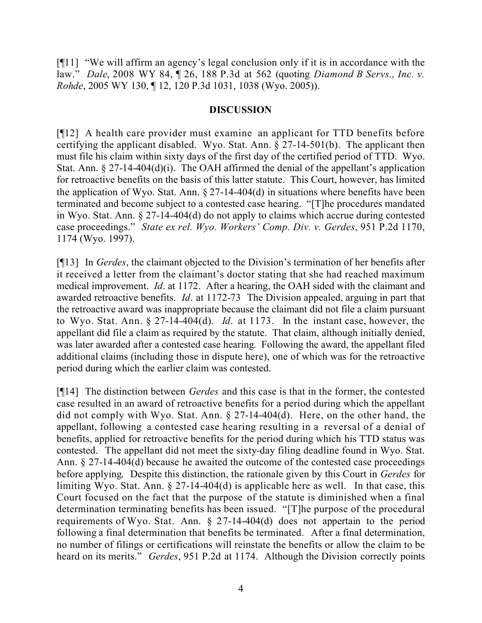[¶11] "We will affirm an agency's legal conclusion only if it is in accordance with the law." *Dale*, 2008 WY 84, ¶ 26, 188 P.3d at 562 (quoting *Diamond B Servs., Inc. v. Rohde*, 2005 WY 130, ¶ 12, 120 P.3d 1031, 1038 (Wyo. 2005)).

## **DISCUSSION**

[¶12] A health care provider must examine an applicant for TTD benefits before certifying the applicant disabled. Wyo. Stat. Ann. § 27-14-501(b). The applicant then must file his claim within sixty days of the first day of the certified period of TTD. Wyo. Stat. Ann. § 27-14-404(d)(i). The OAH affirmed the denial of the appellant's application for retroactive benefits on the basis of this latter statute. This Court, however, has limited the application of Wyo. Stat. Ann.  $\S 27$ -14-404(d) in situations where benefits have been terminated and become subject to a contested case hearing. "[T]he procedures mandated in Wyo. Stat. Ann. § 27-14-404(d) do not apply to claims which accrue during contested case proceedings." *State ex rel. Wyo. Workers' Comp. Div. v. Gerdes*, 951 P.2d 1170, 1174 (Wyo. 1997).

[¶13] In *Gerdes*, the claimant objected to the Division's termination of her benefits after it received a letter from the claimant's doctor stating that she had reached maximum medical improvement. *Id*. at 1172. After a hearing, the OAH sided with the claimant and awarded retroactive benefits. *Id*. at 1172-73 The Division appealed, arguing in part that the retroactive award was inappropriate because the claimant did not file a claim pursuant to Wyo. Stat. Ann. § 27-14-404(d). *Id*. at 1173. In the instant case, however, the appellant did file a claim as required by the statute. That claim, although initially denied, was later awarded after a contested case hearing. Following the award, the appellant filed additional claims (including those in dispute here), one of which was for the retroactive period during which the earlier claim was contested.

[¶14] The distinction between *Gerdes* and this case is that in the former, the contested case resulted in an award of retroactive benefits for a period during which the appellant did not comply with Wyo. Stat. Ann. § 27-14-404(d). Here, on the other hand, the appellant, following a contested case hearing resulting in a reversal of a denial of benefits, applied for retroactive benefits for the period during which his TTD status was contested. The appellant did not meet the sixty-day filing deadline found in Wyo. Stat. Ann. § 27-14-404(d) because he awaited the outcome of the contested case proceedings before applying. Despite this distinction, the rationale given by this Court in *Gerdes* for limiting Wyo. Stat. Ann.  $\S 27$ -14-404(d) is applicable here as well. In that case, this Court focused on the fact that the purpose of the statute is diminished when a final determination terminating benefits has been issued. "[T]he purpose of the procedural requirements of Wyo. Stat. Ann. § 27-14-404(d) does not appertain to the period following a final determination that benefits be terminated. After a final determination, no number of filings or certifications will reinstate the benefits or allow the claim to be heard on its merits." *Gerdes*, 951 P.2d at 1174. Although the Division correctly points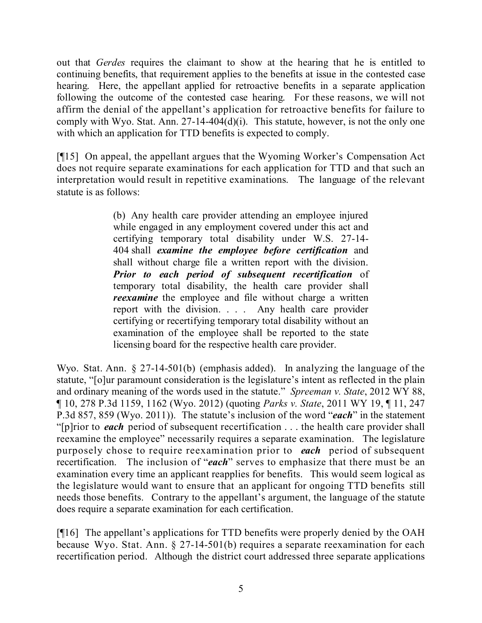out that *Gerdes* requires the claimant to show at the hearing that he is entitled to continuing benefits, that requirement applies to the benefits at issue in the contested case hearing. Here, the appellant applied for retroactive benefits in a separate application following the outcome of the contested case hearing. For these reasons, we will not affirm the denial of the appellant's application for retroactive benefits for failure to comply with Wyo. Stat. Ann. 27-14-404 $(d)(i)$ . This statute, however, is not the only one with which an application for TTD benefits is expected to comply.

[¶15] On appeal, the appellant argues that the Wyoming Worker's Compensation Act does not require separate examinations for each application for TTD and that such an interpretation would result in repetitive examinations. The language of the relevant statute is as follows:

> (b) Any health care provider attending an employee injured while engaged in any employment covered under this act and certifying temporary total disability under W.S. 27-14- 404 shall *examine the employee before certification* and shall without charge file a written report with the division. *Prior to each period of subsequent recertification* of temporary total disability, the health care provider shall *reexamine* the employee and file without charge a written report with the division. . . . Any health care provider certifying or recertifying temporary total disability without an examination of the employee shall be reported to the state licensing board for the respective health care provider.

Wyo. Stat. Ann. § 27-14-501(b) (emphasis added). In analyzing the language of the statute, "[o]ur paramount consideration is the legislature's intent as reflected in the plain and ordinary meaning of the words used in the statute." *Spreeman v. State*, 2012 WY 88, ¶ 10, 278 P.3d 1159, 1162 (Wyo. 2012) (quoting *Parks v. State*, 2011 WY 19, ¶ 11, 247 P.3d 857, 859 (Wyo. 2011)).The statute's inclusion of the word "*each*" in the statement "[p]rior to *each* period of subsequent recertification . . . the health care provider shall reexamine the employee" necessarily requires a separate examination. The legislature purposely chose to require reexamination prior to *each* period of subsequent recertification. The inclusion of "*each*" serves to emphasize that there must be an examination every time an applicant reapplies for benefits. This would seem logical as the legislature would want to ensure that an applicant for ongoing TTD benefits still needs those benefits. Contrary to the appellant's argument, the language of the statute does require a separate examination for each certification.

[¶16] The appellant's applications for TTD benefits were properly denied by the OAH because Wyo. Stat. Ann. § 27-14-501(b) requires a separate reexamination for each recertification period. Although the district court addressed three separate applications